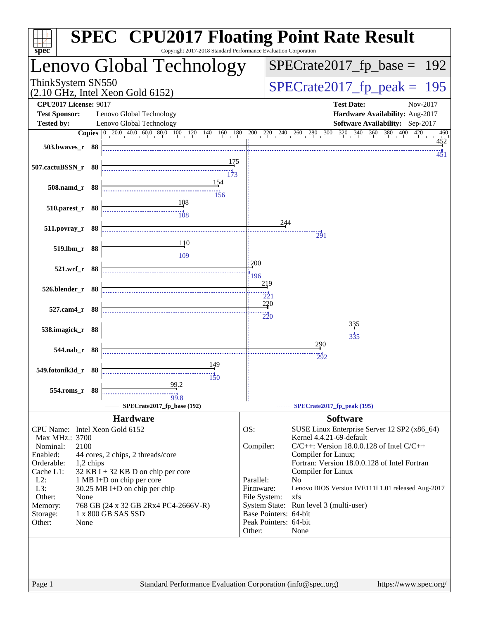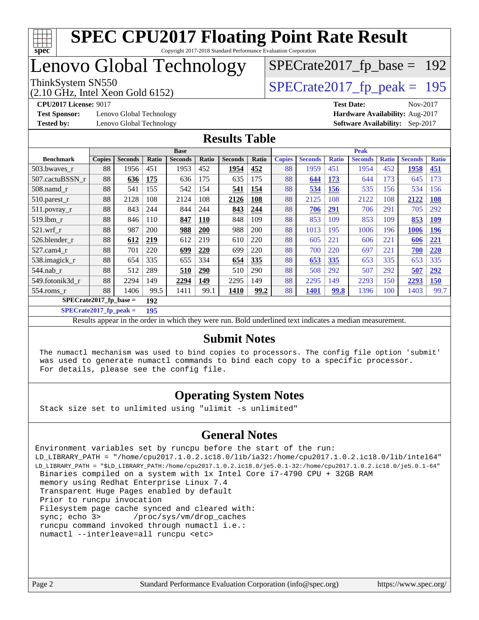

#### **[SPEC CPU2017 Floating Point Rate Result](http://www.spec.org/auto/cpu2017/Docs/result-fields.html#SPECCPU2017FloatingPointRateResult)** Copyright 2017-2018 Standard Performance Evaluation Corporation

# Lenovo Global Technology

(2.10 GHz, Intel Xeon Gold 6152)

ThinkSystem SN550<br>  $(2.10 \text{ GHz})$  Intel Xeon Gold 6152)

[SPECrate2017\\_fp\\_base =](http://www.spec.org/auto/cpu2017/Docs/result-fields.html#SPECrate2017fpbase) 192

**[Test Sponsor:](http://www.spec.org/auto/cpu2017/Docs/result-fields.html#TestSponsor)** Lenovo Global Technology **[Hardware Availability:](http://www.spec.org/auto/cpu2017/Docs/result-fields.html#HardwareAvailability)** Aug-2017

**[CPU2017 License:](http://www.spec.org/auto/cpu2017/Docs/result-fields.html#CPU2017License)** 9017 **[Test Date:](http://www.spec.org/auto/cpu2017/Docs/result-fields.html#TestDate)** Nov-2017 **[Tested by:](http://www.spec.org/auto/cpu2017/Docs/result-fields.html#Testedby)** Lenovo Global Technology **[Software Availability:](http://www.spec.org/auto/cpu2017/Docs/result-fields.html#SoftwareAvailability)** Sep-2017

#### **[Results Table](http://www.spec.org/auto/cpu2017/Docs/result-fields.html#ResultsTable)**

|                                 | <b>Base</b>   |                |       |                |              | <b>Peak</b>    |       |               |                |              |                |              |                |              |
|---------------------------------|---------------|----------------|-------|----------------|--------------|----------------|-------|---------------|----------------|--------------|----------------|--------------|----------------|--------------|
| <b>Benchmark</b>                | <b>Copies</b> | <b>Seconds</b> | Ratio | <b>Seconds</b> | <b>Ratio</b> | <b>Seconds</b> | Ratio | <b>Copies</b> | <b>Seconds</b> | <b>Ratio</b> | <b>Seconds</b> | <b>Ratio</b> | <b>Seconds</b> | <b>Ratio</b> |
| 503.bwayes r                    | 88            | 1956           | 451   | 1953           | 452          | 1954           | 452   | 88            | 1959           | 451          | 1954           | 452          | 1958           | <b>451</b>   |
| 507.cactuBSSN r                 | 88            | 636            | 175   | 636            | 175          | 635            | 175   | 88            | 644            | 173          | 644            | 173          | 645            | 173          |
| $508$ .namd $r$                 | 88            | 541            | 155   | 542            | 154          | 541            | 154   | 88            | 534            | <b>156</b>   | 535            | 156          | 534            | 156          |
| $510.parest_r$                  | 88            | 2128           | 108   | 2124           | 108          | 2126           | 108   | 88            | 2125           | 108          | 2122           | 108          | 2122           | <b>108</b>   |
| 511.povray_r                    | 88            | 843            | 244   | 844            | 244          | 843            | 244   | 88            | 706            | 291          | 706            | 291          | 705            | 292          |
| $519$ .lbm $r$                  | 88            | 846            | 110   | 847            | <b>110</b>   | 848            | 109   | 88            | 853            | 109          | 853            | 109          | 853            | <b>109</b>   |
| $521$ .wrf r                    | 88            | 987            | 200   | 988            | 200          | 988            | 200   | 88            | 1013           | 195          | 1006           | 196          | 1006           | <u>196</u>   |
| 526.blender_r                   | 88            | 612            | 219   | 612            | 219          | 610            | 220   | 88            | 605            | 221          | 606            | 221          | 606            | 221          |
| $527$ .cam $4$ r                | 88            | 701            | 220   | 699            | 220          | 699            | 220   | 88            | 700            | 220          | 697            | 221          | 700            | <b>220</b>   |
| 538.imagick_r                   | 88            | 654            | 335   | 655            | 334          | 654            | 335   | 88            | 653            | 335          | 653            | 335          | 653            | 335          |
| $544$ .nab r                    | 88            | 512            | 289   | 510            | 290          | 510            | 290   | 88            | 508            | 292          | 507            | 292          | 507            | 292          |
| 549.fotonik3d r                 | 88            | 2294           | 149   | 2294           | 149          | 2295           | 149   | 88            | 2295           | 149          | 2293           | 150          | 2293           | <b>150</b>   |
| 554.roms_r                      | 88            | 1406           | 99.5  | 1411           | 99.1         | 1410           | 99.2  | 88            | 1401           | 99.8         | 1396           | 100          | 1403           | 99.7         |
| $SPECrate2017$ fp base =<br>192 |               |                |       |                |              |                |       |               |                |              |                |              |                |              |

**[SPECrate2017\\_fp\\_peak =](http://www.spec.org/auto/cpu2017/Docs/result-fields.html#SPECrate2017fppeak) 195**

Results appear in the [order in which they were run.](http://www.spec.org/auto/cpu2017/Docs/result-fields.html#RunOrder) Bold underlined text [indicates a median measurement.](http://www.spec.org/auto/cpu2017/Docs/result-fields.html#Median)

#### **[Submit Notes](http://www.spec.org/auto/cpu2017/Docs/result-fields.html#SubmitNotes)**

 The numactl mechanism was used to bind copies to processors. The config file option 'submit' was used to generate numactl commands to bind each copy to a specific processor. For details, please see the config file.

### **[Operating System Notes](http://www.spec.org/auto/cpu2017/Docs/result-fields.html#OperatingSystemNotes)**

Stack size set to unlimited using "ulimit -s unlimited"

#### **[General Notes](http://www.spec.org/auto/cpu2017/Docs/result-fields.html#GeneralNotes)**

Environment variables set by runcpu before the start of the run: LD\_LIBRARY\_PATH = "/home/cpu2017.1.0.2.ic18.0/lib/ia32:/home/cpu2017.1.0.2.ic18.0/lib/intel64" LD\_LIBRARY\_PATH = "\$LD\_LIBRARY\_PATH:/home/cpu2017.1.0.2.ic18.0/je5.0.1-32:/home/cpu2017.1.0.2.ic18.0/je5.0.1-64" Binaries compiled on a system with 1x Intel Core i7-4790 CPU + 32GB RAM memory using Redhat Enterprise Linux 7.4 Transparent Huge Pages enabled by default Prior to runcpu invocation Filesystem page cache synced and cleared with: sync; echo 3> /proc/sys/vm/drop\_caches runcpu command invoked through numactl i.e.: numactl --interleave=all runcpu <etc>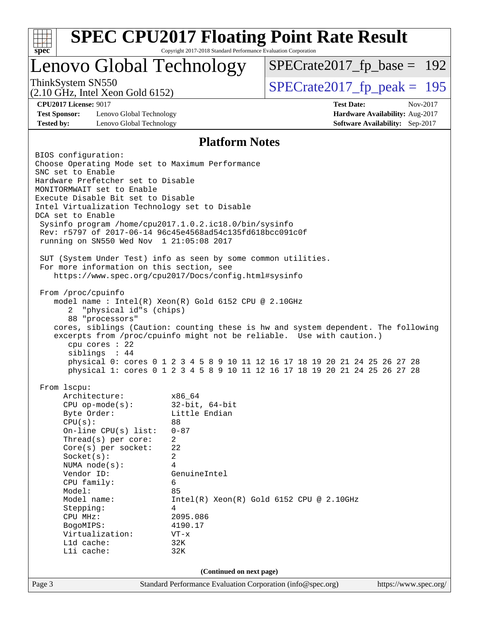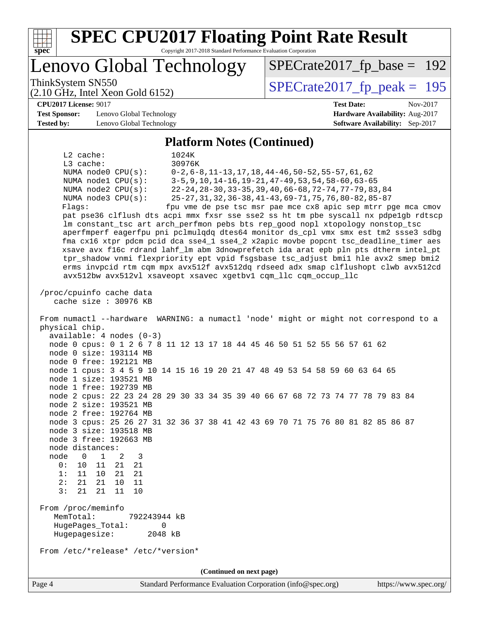| <b>SPEC CPU2017 Floating Point Rate Result</b><br>Copyright 2017-2018 Standard Performance Evaluation Corporation<br>Spec                                                                                                                                                                                                                                                                                                                                                                                                                                                                                                                                                                                                                                                                                                                                                                                                                                                                                                                        |                                                                                                                                                                                                                                                                                                          |
|--------------------------------------------------------------------------------------------------------------------------------------------------------------------------------------------------------------------------------------------------------------------------------------------------------------------------------------------------------------------------------------------------------------------------------------------------------------------------------------------------------------------------------------------------------------------------------------------------------------------------------------------------------------------------------------------------------------------------------------------------------------------------------------------------------------------------------------------------------------------------------------------------------------------------------------------------------------------------------------------------------------------------------------------------|----------------------------------------------------------------------------------------------------------------------------------------------------------------------------------------------------------------------------------------------------------------------------------------------------------|
| Lenovo Global Technology                                                                                                                                                                                                                                                                                                                                                                                                                                                                                                                                                                                                                                                                                                                                                                                                                                                                                                                                                                                                                         | $SPECrate2017_fp\_base = 192$                                                                                                                                                                                                                                                                            |
| ThinkSystem SN550<br>$(2.10 \text{ GHz}, \text{Intel Xeon Gold } 6152)$                                                                                                                                                                                                                                                                                                                                                                                                                                                                                                                                                                                                                                                                                                                                                                                                                                                                                                                                                                          | $SPECTate2017$ _fp_peak = 195                                                                                                                                                                                                                                                                            |
| <b>CPU2017 License: 9017</b><br><b>Test Sponsor:</b><br>Lenovo Global Technology<br><b>Tested by:</b><br>Lenovo Global Technology                                                                                                                                                                                                                                                                                                                                                                                                                                                                                                                                                                                                                                                                                                                                                                                                                                                                                                                | <b>Test Date:</b><br>Nov-2017<br>Hardware Availability: Aug-2017<br>Software Availability: Sep-2017                                                                                                                                                                                                      |
| <b>Platform Notes (Continued)</b>                                                                                                                                                                                                                                                                                                                                                                                                                                                                                                                                                                                                                                                                                                                                                                                                                                                                                                                                                                                                                |                                                                                                                                                                                                                                                                                                          |
| $L2$ cache:<br>1024K<br>30976K<br>L3 cache:<br>NUMA node0 CPU(s):<br>NUMA nodel CPU(s):<br>NUMA node2 CPU(s):<br>NUMA node3 CPU(s):<br>Flags:<br>pat pse36 clflush dts acpi mmx fxsr sse sse2 ss ht tm pbe syscall nx pdpelgb rdtscp<br>lm constant_tsc art arch_perfmon pebs bts rep_good nopl xtopology nonstop_tsc<br>aperfmperf eagerfpu pni pclmulqdq dtes64 monitor ds_cpl vmx smx est tm2 ssse3 sdbg<br>fma cx16 xtpr pdcm pcid dca sse4_1 sse4_2 x2apic movbe popcnt tsc_deadline_timer aes<br>xsave avx f16c rdrand lahf_lm abm 3dnowprefetch ida arat epb pln pts dtherm intel_pt<br>tpr_shadow vnmi flexpriority ept vpid fsgsbase tsc_adjust bmil hle avx2 smep bmi2<br>erms invpcid rtm cqm mpx avx512f avx512dq rdseed adx smap clflushopt clwb avx512cd<br>avx512bw avx512vl xsaveopt xsavec xgetbvl cqm_llc cqm_occup_llc                                                                                                                                                                                                        | $0-2, 6-8, 11-13, 17, 18, 44-46, 50-52, 55-57, 61, 62$<br>3-5, 9, 10, 14-16, 19-21, 47-49, 53, 54, 58-60, 63-65<br>22-24, 28-30, 33-35, 39, 40, 66-68, 72-74, 77-79, 83, 84<br>25-27, 31, 32, 36-38, 41-43, 69-71, 75, 76, 80-82, 85-87<br>fpu vme de pse tsc msr pae mce cx8 apic sep mtrr pge mca cmov |
| cache size $: 30976$ KB<br>From numactl --hardware WARNING: a numactl 'node' might or might not correspond to a<br>physical chip.<br>$available: 4 nodes (0-3)$<br>node 0 cpus: 0 1 2 6 7 8 11 12 13 17 18 44 45 46 50 51 52 55 56 57 61 62<br>node 0 size: 193114 MB<br>node 0 free: 192121 MB<br>node 1 cpus: 3 4 5 9 10 14 15 16 19 20 21 47 48 49 53 54 58 59 60 63 64 65<br>node 1 size: 193521 MB<br>node 1 free: 192739 MB<br>node 2 cpus: 22 23 24 28 29 30 33 34 35 39 40 66 67 68 72 73 74 77 78 79 83 84<br>node 2 size: 193521 MB<br>node 2 free: 192764 MB<br>node 3 cpus: 25 26 27 31 32 36 37 38 41 42 43 69 70 71 75 76 80 81 82 85 86 87<br>node 3 size: 193518 MB<br>node 3 free: 192663 MB<br>node distances:<br>node<br>$\overline{0}$<br>1<br>3<br>2<br>0 :<br>10<br>11<br>21<br>21<br>1:<br>11<br>10<br>21<br>21<br>2:<br>21<br>21<br>10<br>11<br>21<br>3:<br>21<br>11<br>10<br>From /proc/meminfo<br>MemTotal:<br>792243944 kB<br>HugePages_Total:<br>0<br>Hugepagesize:<br>2048 kB<br>From /etc/*release* /etc/*version* |                                                                                                                                                                                                                                                                                                          |
| (Continued on next page)                                                                                                                                                                                                                                                                                                                                                                                                                                                                                                                                                                                                                                                                                                                                                                                                                                                                                                                                                                                                                         |                                                                                                                                                                                                                                                                                                          |
| Page 4<br>Standard Performance Evaluation Corporation (info@spec.org)                                                                                                                                                                                                                                                                                                                                                                                                                                                                                                                                                                                                                                                                                                                                                                                                                                                                                                                                                                            | https://www.spec.org/                                                                                                                                                                                                                                                                                    |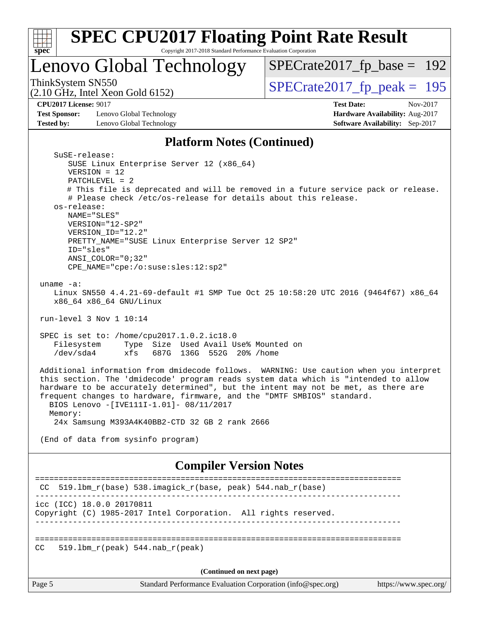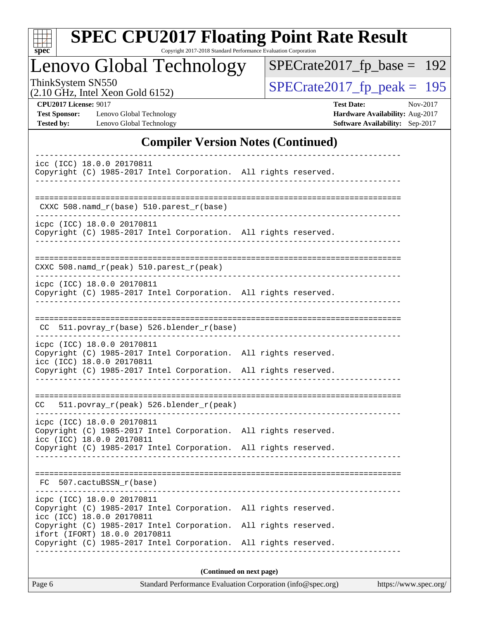| S<br>e<br>U |  |  |  |  |  |
|-------------|--|--|--|--|--|

Copyright 2017-2018 Standard Performance Evaluation Corporation

# Lenovo Global Technology

ThinkSystem SN550<br>  $(2.10 \text{ GHz})$  Intel Xeon Gold 6152)

[SPECrate2017\\_fp\\_base =](http://www.spec.org/auto/cpu2017/Docs/result-fields.html#SPECrate2017fpbase) 192

(2.10 GHz, Intel Xeon Gold 6152)

**[Test Sponsor:](http://www.spec.org/auto/cpu2017/Docs/result-fields.html#TestSponsor)** Lenovo Global Technology **[Hardware Availability:](http://www.spec.org/auto/cpu2017/Docs/result-fields.html#HardwareAvailability)** Aug-2017 **[Tested by:](http://www.spec.org/auto/cpu2017/Docs/result-fields.html#Testedby)** Lenovo Global Technology **[Software Availability:](http://www.spec.org/auto/cpu2017/Docs/result-fields.html#SoftwareAvailability)** Sep-2017

**[CPU2017 License:](http://www.spec.org/auto/cpu2017/Docs/result-fields.html#CPU2017License)** 9017 **[Test Date:](http://www.spec.org/auto/cpu2017/Docs/result-fields.html#TestDate)** Nov-2017

### **[Compiler Version Notes \(Continued\)](http://www.spec.org/auto/cpu2017/Docs/result-fields.html#CompilerVersionNotes)**

| icc (ICC) 18.0.0 20170811<br>Copyright (C) 1985-2017 Intel Corporation. All rights reserved.                                                                                                                                                            |                                              |  |  |  |  |  |
|---------------------------------------------------------------------------------------------------------------------------------------------------------------------------------------------------------------------------------------------------------|----------------------------------------------|--|--|--|--|--|
| CXXC 508.namd_r(base) 510.parest_r(base)                                                                                                                                                                                                                |                                              |  |  |  |  |  |
| icpc (ICC) 18.0.0 20170811<br>Copyright (C) 1985-2017 Intel Corporation. All rights reserved.                                                                                                                                                           |                                              |  |  |  |  |  |
| CXXC 508.namd_r(peak) 510.parest_r(peak)                                                                                                                                                                                                                |                                              |  |  |  |  |  |
| ---------------------<br>icpc (ICC) 18.0.0 20170811<br>Copyright (C) 1985-2017 Intel Corporation. All rights reserved.                                                                                                                                  |                                              |  |  |  |  |  |
| 511.povray_r(base) 526.blender_r(base)<br>CC.                                                                                                                                                                                                           |                                              |  |  |  |  |  |
| icpc (ICC) 18.0.0 20170811<br>Copyright (C) 1985-2017 Intel Corporation. All rights reserved.<br>icc (ICC) 18.0.0 20170811<br>Copyright (C) 1985-2017 Intel Corporation. All rights reserved.                                                           |                                              |  |  |  |  |  |
| 511.povray_r(peak) 526.blender_r(peak)<br>CC                                                                                                                                                                                                            |                                              |  |  |  |  |  |
| icpc (ICC) 18.0.0 20170811<br>Copyright (C) 1985-2017 Intel Corporation. All rights reserved.<br>icc (ICC) 18.0.0 20170811<br>Copyright (C) 1985-2017 Intel Corporation. All rights reserved.                                                           |                                              |  |  |  |  |  |
| 507.cactuBSSN_r(base)<br>FC                                                                                                                                                                                                                             |                                              |  |  |  |  |  |
| icpc (ICC) 18.0.0 20170811<br>Copyright (C) 1985-2017 Intel Corporation.<br>icc (ICC) 18.0.0 20170811<br>Copyright (C) 1985-2017 Intel Corporation.<br>ifort (IFORT) 18.0.0 20170811<br>Copyright (C) 1985-2017 Intel Corporation. All rights reserved. | All rights reserved.<br>All rights reserved. |  |  |  |  |  |
| (Continued on next page)                                                                                                                                                                                                                                |                                              |  |  |  |  |  |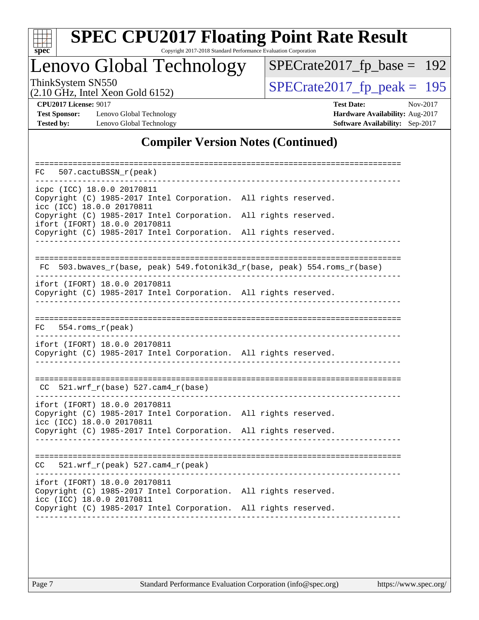

Copyright 2017-2018 Standard Performance Evaluation Corporation

# Lenovo Global Technology

ThinkSystem SN550<br>  $(2.10 \text{ GHz})$  Intel Xeon Gold 6152) [SPECrate2017\\_fp\\_base =](http://www.spec.org/auto/cpu2017/Docs/result-fields.html#SPECrate2017fpbase) 192

(2.10 GHz, Intel Xeon Gold 6152)

**[Test Sponsor:](http://www.spec.org/auto/cpu2017/Docs/result-fields.html#TestSponsor)** Lenovo Global Technology **[Hardware Availability:](http://www.spec.org/auto/cpu2017/Docs/result-fields.html#HardwareAvailability)** Aug-2017 **[Tested by:](http://www.spec.org/auto/cpu2017/Docs/result-fields.html#Testedby)** Lenovo Global Technology **[Software Availability:](http://www.spec.org/auto/cpu2017/Docs/result-fields.html#SoftwareAvailability)** Sep-2017

**[CPU2017 License:](http://www.spec.org/auto/cpu2017/Docs/result-fields.html#CPU2017License)** 9017 **[Test Date:](http://www.spec.org/auto/cpu2017/Docs/result-fields.html#TestDate)** Nov-2017

### **[Compiler Version Notes \(Continued\)](http://www.spec.org/auto/cpu2017/Docs/result-fields.html#CompilerVersionNotes)**

| 507.cactuBSSN_r(peak)<br>FC.                                                                                                  |                                                                       |
|-------------------------------------------------------------------------------------------------------------------------------|-----------------------------------------------------------------------|
| icpc (ICC) 18.0.0 20170811<br>Copyright (C) 1985-2017 Intel Corporation. All rights reserved.<br>icc (ICC) 18.0.0 20170811    |                                                                       |
| Copyright (C) 1985-2017 Intel Corporation.<br>ifort (IFORT) 18.0.0 20170811                                                   | All rights reserved.                                                  |
| Copyright (C) 1985-2017 Intel Corporation. All rights reserved.                                                               |                                                                       |
| FC                                                                                                                            | 503.bwaves_r(base, peak) 549.fotonik3d_r(base, peak) 554.roms_r(base) |
| ifort (IFORT) 18.0.0 20170811<br>Copyright (C) 1985-2017 Intel Corporation. All rights reserved.                              |                                                                       |
| $554.rows_r (peak)$<br>FC                                                                                                     |                                                                       |
| ifort (IFORT) 18.0.0 20170811<br>Copyright (C) 1985-2017 Intel Corporation. All rights reserved.                              |                                                                       |
| $521.wrf_r(base) 527.cam4_r(base)$<br>CC.                                                                                     |                                                                       |
| ifort (IFORT) 18.0.0 20170811<br>Copyright (C) 1985-2017 Intel Corporation. All rights reserved.<br>icc (ICC) 18.0.0 20170811 |                                                                       |
| Copyright (C) 1985-2017 Intel Corporation. All rights reserved.                                                               |                                                                       |
| 521.wrf $r(\text{peak})$ 527.cam4 $r(\text{peak})$<br>CC.                                                                     |                                                                       |
| ifort (IFORT) 18.0.0 20170811<br>Copyright (C) 1985-2017 Intel Corporation. All rights reserved.<br>icc (ICC) 18.0.0 20170811 |                                                                       |
| Copyright (C) 1985-2017 Intel Corporation. All rights reserved.                                                               |                                                                       |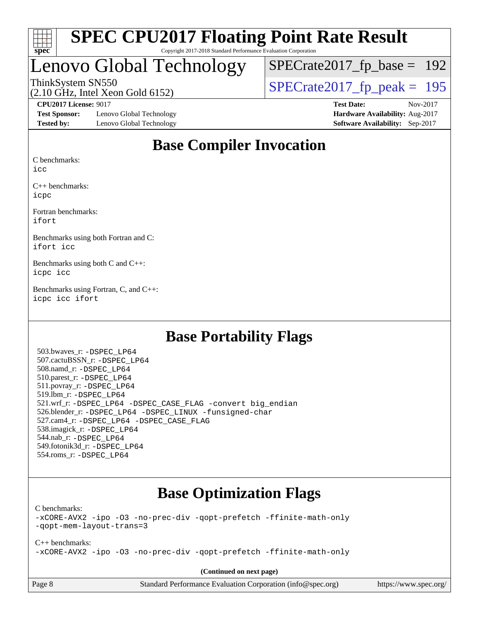

#### **[SPEC CPU2017 Floating Point Rate Result](http://www.spec.org/auto/cpu2017/Docs/result-fields.html#SPECCPU2017FloatingPointRateResult)** Copyright 2017-2018 Standard Performance Evaluation Corporation

# Lenovo Global Technology

[SPECrate2017\\_fp\\_base =](http://www.spec.org/auto/cpu2017/Docs/result-fields.html#SPECrate2017fpbase) 192

(2.10 GHz, Intel Xeon Gold 6152)

ThinkSystem SN550<br>  $(2.10 \text{ GHz})$  Intel Xeon Gold 6152)

**[Test Sponsor:](http://www.spec.org/auto/cpu2017/Docs/result-fields.html#TestSponsor)** Lenovo Global Technology **[Hardware Availability:](http://www.spec.org/auto/cpu2017/Docs/result-fields.html#HardwareAvailability)** Aug-2017 **[Tested by:](http://www.spec.org/auto/cpu2017/Docs/result-fields.html#Testedby)** Lenovo Global Technology **[Software Availability:](http://www.spec.org/auto/cpu2017/Docs/result-fields.html#SoftwareAvailability)** Sep-2017

**[CPU2017 License:](http://www.spec.org/auto/cpu2017/Docs/result-fields.html#CPU2017License)** 9017 **[Test Date:](http://www.spec.org/auto/cpu2017/Docs/result-fields.html#TestDate)** Nov-2017

### **[Base Compiler Invocation](http://www.spec.org/auto/cpu2017/Docs/result-fields.html#BaseCompilerInvocation)**

[C benchmarks:](http://www.spec.org/auto/cpu2017/Docs/result-fields.html#Cbenchmarks)

[icc](http://www.spec.org/cpu2017/results/res2017q4/cpu2017-20171114-00681.flags.html#user_CCbase_intel_icc_18.0_66fc1ee009f7361af1fbd72ca7dcefbb700085f36577c54f309893dd4ec40d12360134090235512931783d35fd58c0460139e722d5067c5574d8eaf2b3e37e92)

[C++ benchmarks:](http://www.spec.org/auto/cpu2017/Docs/result-fields.html#CXXbenchmarks) [icpc](http://www.spec.org/cpu2017/results/res2017q4/cpu2017-20171114-00681.flags.html#user_CXXbase_intel_icpc_18.0_c510b6838c7f56d33e37e94d029a35b4a7bccf4766a728ee175e80a419847e808290a9b78be685c44ab727ea267ec2f070ec5dc83b407c0218cded6866a35d07)

[Fortran benchmarks](http://www.spec.org/auto/cpu2017/Docs/result-fields.html#Fortranbenchmarks): [ifort](http://www.spec.org/cpu2017/results/res2017q4/cpu2017-20171114-00681.flags.html#user_FCbase_intel_ifort_18.0_8111460550e3ca792625aed983ce982f94888b8b503583aa7ba2b8303487b4d8a21a13e7191a45c5fd58ff318f48f9492884d4413fa793fd88dd292cad7027ca)

[Benchmarks using both Fortran and C:](http://www.spec.org/auto/cpu2017/Docs/result-fields.html#BenchmarksusingbothFortranandC) [ifort](http://www.spec.org/cpu2017/results/res2017q4/cpu2017-20171114-00681.flags.html#user_CC_FCbase_intel_ifort_18.0_8111460550e3ca792625aed983ce982f94888b8b503583aa7ba2b8303487b4d8a21a13e7191a45c5fd58ff318f48f9492884d4413fa793fd88dd292cad7027ca) [icc](http://www.spec.org/cpu2017/results/res2017q4/cpu2017-20171114-00681.flags.html#user_CC_FCbase_intel_icc_18.0_66fc1ee009f7361af1fbd72ca7dcefbb700085f36577c54f309893dd4ec40d12360134090235512931783d35fd58c0460139e722d5067c5574d8eaf2b3e37e92)

[Benchmarks using both C and C++](http://www.spec.org/auto/cpu2017/Docs/result-fields.html#BenchmarksusingbothCandCXX): [icpc](http://www.spec.org/cpu2017/results/res2017q4/cpu2017-20171114-00681.flags.html#user_CC_CXXbase_intel_icpc_18.0_c510b6838c7f56d33e37e94d029a35b4a7bccf4766a728ee175e80a419847e808290a9b78be685c44ab727ea267ec2f070ec5dc83b407c0218cded6866a35d07) [icc](http://www.spec.org/cpu2017/results/res2017q4/cpu2017-20171114-00681.flags.html#user_CC_CXXbase_intel_icc_18.0_66fc1ee009f7361af1fbd72ca7dcefbb700085f36577c54f309893dd4ec40d12360134090235512931783d35fd58c0460139e722d5067c5574d8eaf2b3e37e92)

[Benchmarks using Fortran, C, and C++:](http://www.spec.org/auto/cpu2017/Docs/result-fields.html#BenchmarksusingFortranCandCXX) [icpc](http://www.spec.org/cpu2017/results/res2017q4/cpu2017-20171114-00681.flags.html#user_CC_CXX_FCbase_intel_icpc_18.0_c510b6838c7f56d33e37e94d029a35b4a7bccf4766a728ee175e80a419847e808290a9b78be685c44ab727ea267ec2f070ec5dc83b407c0218cded6866a35d07) [icc](http://www.spec.org/cpu2017/results/res2017q4/cpu2017-20171114-00681.flags.html#user_CC_CXX_FCbase_intel_icc_18.0_66fc1ee009f7361af1fbd72ca7dcefbb700085f36577c54f309893dd4ec40d12360134090235512931783d35fd58c0460139e722d5067c5574d8eaf2b3e37e92) [ifort](http://www.spec.org/cpu2017/results/res2017q4/cpu2017-20171114-00681.flags.html#user_CC_CXX_FCbase_intel_ifort_18.0_8111460550e3ca792625aed983ce982f94888b8b503583aa7ba2b8303487b4d8a21a13e7191a45c5fd58ff318f48f9492884d4413fa793fd88dd292cad7027ca)

### **[Base Portability Flags](http://www.spec.org/auto/cpu2017/Docs/result-fields.html#BasePortabilityFlags)**

 503.bwaves\_r: [-DSPEC\\_LP64](http://www.spec.org/cpu2017/results/res2017q4/cpu2017-20171114-00681.flags.html#suite_basePORTABILITY503_bwaves_r_DSPEC_LP64) 507.cactuBSSN\_r: [-DSPEC\\_LP64](http://www.spec.org/cpu2017/results/res2017q4/cpu2017-20171114-00681.flags.html#suite_basePORTABILITY507_cactuBSSN_r_DSPEC_LP64) 508.namd\_r: [-DSPEC\\_LP64](http://www.spec.org/cpu2017/results/res2017q4/cpu2017-20171114-00681.flags.html#suite_basePORTABILITY508_namd_r_DSPEC_LP64) 510.parest\_r: [-DSPEC\\_LP64](http://www.spec.org/cpu2017/results/res2017q4/cpu2017-20171114-00681.flags.html#suite_basePORTABILITY510_parest_r_DSPEC_LP64) 511.povray\_r: [-DSPEC\\_LP64](http://www.spec.org/cpu2017/results/res2017q4/cpu2017-20171114-00681.flags.html#suite_basePORTABILITY511_povray_r_DSPEC_LP64) 519.lbm\_r: [-DSPEC\\_LP64](http://www.spec.org/cpu2017/results/res2017q4/cpu2017-20171114-00681.flags.html#suite_basePORTABILITY519_lbm_r_DSPEC_LP64) 521.wrf\_r: [-DSPEC\\_LP64](http://www.spec.org/cpu2017/results/res2017q4/cpu2017-20171114-00681.flags.html#suite_basePORTABILITY521_wrf_r_DSPEC_LP64) [-DSPEC\\_CASE\\_FLAG](http://www.spec.org/cpu2017/results/res2017q4/cpu2017-20171114-00681.flags.html#b521.wrf_r_baseCPORTABILITY_DSPEC_CASE_FLAG) [-convert big\\_endian](http://www.spec.org/cpu2017/results/res2017q4/cpu2017-20171114-00681.flags.html#user_baseFPORTABILITY521_wrf_r_convert_big_endian_c3194028bc08c63ac5d04de18c48ce6d347e4e562e8892b8bdbdc0214820426deb8554edfa529a3fb25a586e65a3d812c835984020483e7e73212c4d31a38223) 526.blender\_r: [-DSPEC\\_LP64](http://www.spec.org/cpu2017/results/res2017q4/cpu2017-20171114-00681.flags.html#suite_basePORTABILITY526_blender_r_DSPEC_LP64) [-DSPEC\\_LINUX](http://www.spec.org/cpu2017/results/res2017q4/cpu2017-20171114-00681.flags.html#b526.blender_r_baseCPORTABILITY_DSPEC_LINUX) [-funsigned-char](http://www.spec.org/cpu2017/results/res2017q4/cpu2017-20171114-00681.flags.html#user_baseCPORTABILITY526_blender_r_force_uchar_40c60f00ab013830e2dd6774aeded3ff59883ba5a1fc5fc14077f794d777847726e2a5858cbc7672e36e1b067e7e5c1d9a74f7176df07886a243d7cc18edfe67) 527.cam4\_r: [-DSPEC\\_LP64](http://www.spec.org/cpu2017/results/res2017q4/cpu2017-20171114-00681.flags.html#suite_basePORTABILITY527_cam4_r_DSPEC_LP64) [-DSPEC\\_CASE\\_FLAG](http://www.spec.org/cpu2017/results/res2017q4/cpu2017-20171114-00681.flags.html#b527.cam4_r_baseCPORTABILITY_DSPEC_CASE_FLAG) 538.imagick\_r: [-DSPEC\\_LP64](http://www.spec.org/cpu2017/results/res2017q4/cpu2017-20171114-00681.flags.html#suite_basePORTABILITY538_imagick_r_DSPEC_LP64) 544.nab\_r: [-DSPEC\\_LP64](http://www.spec.org/cpu2017/results/res2017q4/cpu2017-20171114-00681.flags.html#suite_basePORTABILITY544_nab_r_DSPEC_LP64) 549.fotonik3d\_r: [-DSPEC\\_LP64](http://www.spec.org/cpu2017/results/res2017q4/cpu2017-20171114-00681.flags.html#suite_basePORTABILITY549_fotonik3d_r_DSPEC_LP64) 554.roms\_r: [-DSPEC\\_LP64](http://www.spec.org/cpu2017/results/res2017q4/cpu2017-20171114-00681.flags.html#suite_basePORTABILITY554_roms_r_DSPEC_LP64)

# **[Base Optimization Flags](http://www.spec.org/auto/cpu2017/Docs/result-fields.html#BaseOptimizationFlags)**

[C benchmarks](http://www.spec.org/auto/cpu2017/Docs/result-fields.html#Cbenchmarks):

[-xCORE-AVX2](http://www.spec.org/cpu2017/results/res2017q4/cpu2017-20171114-00681.flags.html#user_CCbase_f-xCORE-AVX2) [-ipo](http://www.spec.org/cpu2017/results/res2017q4/cpu2017-20171114-00681.flags.html#user_CCbase_f-ipo) [-O3](http://www.spec.org/cpu2017/results/res2017q4/cpu2017-20171114-00681.flags.html#user_CCbase_f-O3) [-no-prec-div](http://www.spec.org/cpu2017/results/res2017q4/cpu2017-20171114-00681.flags.html#user_CCbase_f-no-prec-div) [-qopt-prefetch](http://www.spec.org/cpu2017/results/res2017q4/cpu2017-20171114-00681.flags.html#user_CCbase_f-qopt-prefetch) [-ffinite-math-only](http://www.spec.org/cpu2017/results/res2017q4/cpu2017-20171114-00681.flags.html#user_CCbase_f_finite_math_only_cb91587bd2077682c4b38af759c288ed7c732db004271a9512da14a4f8007909a5f1427ecbf1a0fb78ff2a814402c6114ac565ca162485bbcae155b5e4258871) [-qopt-mem-layout-trans=3](http://www.spec.org/cpu2017/results/res2017q4/cpu2017-20171114-00681.flags.html#user_CCbase_f-qopt-mem-layout-trans_de80db37974c74b1f0e20d883f0b675c88c3b01e9d123adea9b28688d64333345fb62bc4a798493513fdb68f60282f9a726aa07f478b2f7113531aecce732043)

[C++ benchmarks:](http://www.spec.org/auto/cpu2017/Docs/result-fields.html#CXXbenchmarks) [-xCORE-AVX2](http://www.spec.org/cpu2017/results/res2017q4/cpu2017-20171114-00681.flags.html#user_CXXbase_f-xCORE-AVX2) [-ipo](http://www.spec.org/cpu2017/results/res2017q4/cpu2017-20171114-00681.flags.html#user_CXXbase_f-ipo) [-O3](http://www.spec.org/cpu2017/results/res2017q4/cpu2017-20171114-00681.flags.html#user_CXXbase_f-O3) [-no-prec-div](http://www.spec.org/cpu2017/results/res2017q4/cpu2017-20171114-00681.flags.html#user_CXXbase_f-no-prec-div) [-qopt-prefetch](http://www.spec.org/cpu2017/results/res2017q4/cpu2017-20171114-00681.flags.html#user_CXXbase_f-qopt-prefetch) [-ffinite-math-only](http://www.spec.org/cpu2017/results/res2017q4/cpu2017-20171114-00681.flags.html#user_CXXbase_f_finite_math_only_cb91587bd2077682c4b38af759c288ed7c732db004271a9512da14a4f8007909a5f1427ecbf1a0fb78ff2a814402c6114ac565ca162485bbcae155b5e4258871)

**(Continued on next page)**

| age 8 |  |  |  |  |
|-------|--|--|--|--|
|-------|--|--|--|--|

Page 8 Standard Performance Evaluation Corporation [\(info@spec.org\)](mailto:info@spec.org) <https://www.spec.org/>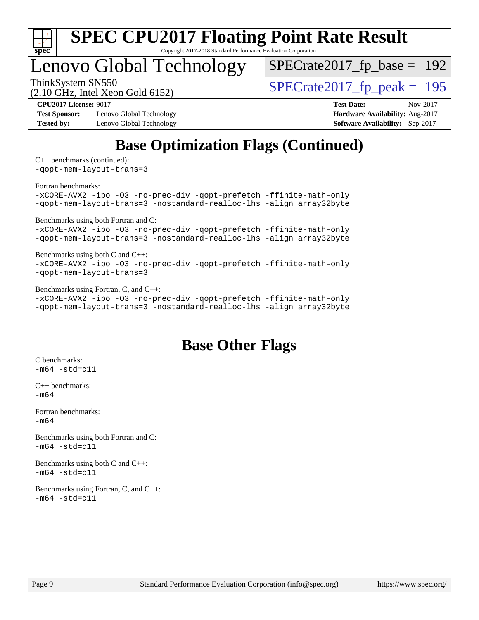

Copyright 2017-2018 Standard Performance Evaluation Corporation

# Lenovo Global Technology

[SPECrate2017\\_fp\\_base =](http://www.spec.org/auto/cpu2017/Docs/result-fields.html#SPECrate2017fpbase) 192

(2.10 GHz, Intel Xeon Gold 6152)

ThinkSystem SN550<br>  $(2.10 \text{ GHz})$  Intel Xeon Gold 6152)

**[Test Sponsor:](http://www.spec.org/auto/cpu2017/Docs/result-fields.html#TestSponsor)** Lenovo Global Technology **[Hardware Availability:](http://www.spec.org/auto/cpu2017/Docs/result-fields.html#HardwareAvailability)** Aug-2017 **[Tested by:](http://www.spec.org/auto/cpu2017/Docs/result-fields.html#Testedby)** Lenovo Global Technology **[Software Availability:](http://www.spec.org/auto/cpu2017/Docs/result-fields.html#SoftwareAvailability)** Sep-2017

**[CPU2017 License:](http://www.spec.org/auto/cpu2017/Docs/result-fields.html#CPU2017License)** 9017 **[Test Date:](http://www.spec.org/auto/cpu2017/Docs/result-fields.html#TestDate)** Nov-2017

# **[Base Optimization Flags \(Continued\)](http://www.spec.org/auto/cpu2017/Docs/result-fields.html#BaseOptimizationFlags)**

[C++ benchmarks](http://www.spec.org/auto/cpu2017/Docs/result-fields.html#CXXbenchmarks) (continued):

[-qopt-mem-layout-trans=3](http://www.spec.org/cpu2017/results/res2017q4/cpu2017-20171114-00681.flags.html#user_CXXbase_f-qopt-mem-layout-trans_de80db37974c74b1f0e20d883f0b675c88c3b01e9d123adea9b28688d64333345fb62bc4a798493513fdb68f60282f9a726aa07f478b2f7113531aecce732043)

[Fortran benchmarks](http://www.spec.org/auto/cpu2017/Docs/result-fields.html#Fortranbenchmarks):

[-xCORE-AVX2](http://www.spec.org/cpu2017/results/res2017q4/cpu2017-20171114-00681.flags.html#user_FCbase_f-xCORE-AVX2) [-ipo](http://www.spec.org/cpu2017/results/res2017q4/cpu2017-20171114-00681.flags.html#user_FCbase_f-ipo) [-O3](http://www.spec.org/cpu2017/results/res2017q4/cpu2017-20171114-00681.flags.html#user_FCbase_f-O3) [-no-prec-div](http://www.spec.org/cpu2017/results/res2017q4/cpu2017-20171114-00681.flags.html#user_FCbase_f-no-prec-div) [-qopt-prefetch](http://www.spec.org/cpu2017/results/res2017q4/cpu2017-20171114-00681.flags.html#user_FCbase_f-qopt-prefetch) [-ffinite-math-only](http://www.spec.org/cpu2017/results/res2017q4/cpu2017-20171114-00681.flags.html#user_FCbase_f_finite_math_only_cb91587bd2077682c4b38af759c288ed7c732db004271a9512da14a4f8007909a5f1427ecbf1a0fb78ff2a814402c6114ac565ca162485bbcae155b5e4258871) [-qopt-mem-layout-trans=3](http://www.spec.org/cpu2017/results/res2017q4/cpu2017-20171114-00681.flags.html#user_FCbase_f-qopt-mem-layout-trans_de80db37974c74b1f0e20d883f0b675c88c3b01e9d123adea9b28688d64333345fb62bc4a798493513fdb68f60282f9a726aa07f478b2f7113531aecce732043) [-nostandard-realloc-lhs](http://www.spec.org/cpu2017/results/res2017q4/cpu2017-20171114-00681.flags.html#user_FCbase_f_2003_std_realloc_82b4557e90729c0f113870c07e44d33d6f5a304b4f63d4c15d2d0f1fab99f5daaed73bdb9275d9ae411527f28b936061aa8b9c8f2d63842963b95c9dd6426b8a) [-align array32byte](http://www.spec.org/cpu2017/results/res2017q4/cpu2017-20171114-00681.flags.html#user_FCbase_align_array32byte_b982fe038af199962ba9a80c053b8342c548c85b40b8e86eb3cc33dee0d7986a4af373ac2d51c3f7cf710a18d62fdce2948f201cd044323541f22fc0fffc51b6)

[Benchmarks using both Fortran and C](http://www.spec.org/auto/cpu2017/Docs/result-fields.html#BenchmarksusingbothFortranandC):

[-xCORE-AVX2](http://www.spec.org/cpu2017/results/res2017q4/cpu2017-20171114-00681.flags.html#user_CC_FCbase_f-xCORE-AVX2) [-ipo](http://www.spec.org/cpu2017/results/res2017q4/cpu2017-20171114-00681.flags.html#user_CC_FCbase_f-ipo) [-O3](http://www.spec.org/cpu2017/results/res2017q4/cpu2017-20171114-00681.flags.html#user_CC_FCbase_f-O3) [-no-prec-div](http://www.spec.org/cpu2017/results/res2017q4/cpu2017-20171114-00681.flags.html#user_CC_FCbase_f-no-prec-div) [-qopt-prefetch](http://www.spec.org/cpu2017/results/res2017q4/cpu2017-20171114-00681.flags.html#user_CC_FCbase_f-qopt-prefetch) [-ffinite-math-only](http://www.spec.org/cpu2017/results/res2017q4/cpu2017-20171114-00681.flags.html#user_CC_FCbase_f_finite_math_only_cb91587bd2077682c4b38af759c288ed7c732db004271a9512da14a4f8007909a5f1427ecbf1a0fb78ff2a814402c6114ac565ca162485bbcae155b5e4258871) [-qopt-mem-layout-trans=3](http://www.spec.org/cpu2017/results/res2017q4/cpu2017-20171114-00681.flags.html#user_CC_FCbase_f-qopt-mem-layout-trans_de80db37974c74b1f0e20d883f0b675c88c3b01e9d123adea9b28688d64333345fb62bc4a798493513fdb68f60282f9a726aa07f478b2f7113531aecce732043) [-nostandard-realloc-lhs](http://www.spec.org/cpu2017/results/res2017q4/cpu2017-20171114-00681.flags.html#user_CC_FCbase_f_2003_std_realloc_82b4557e90729c0f113870c07e44d33d6f5a304b4f63d4c15d2d0f1fab99f5daaed73bdb9275d9ae411527f28b936061aa8b9c8f2d63842963b95c9dd6426b8a) [-align array32byte](http://www.spec.org/cpu2017/results/res2017q4/cpu2017-20171114-00681.flags.html#user_CC_FCbase_align_array32byte_b982fe038af199962ba9a80c053b8342c548c85b40b8e86eb3cc33dee0d7986a4af373ac2d51c3f7cf710a18d62fdce2948f201cd044323541f22fc0fffc51b6)

[Benchmarks using both C and C++](http://www.spec.org/auto/cpu2017/Docs/result-fields.html#BenchmarksusingbothCandCXX):

[-xCORE-AVX2](http://www.spec.org/cpu2017/results/res2017q4/cpu2017-20171114-00681.flags.html#user_CC_CXXbase_f-xCORE-AVX2) [-ipo](http://www.spec.org/cpu2017/results/res2017q4/cpu2017-20171114-00681.flags.html#user_CC_CXXbase_f-ipo) [-O3](http://www.spec.org/cpu2017/results/res2017q4/cpu2017-20171114-00681.flags.html#user_CC_CXXbase_f-O3) [-no-prec-div](http://www.spec.org/cpu2017/results/res2017q4/cpu2017-20171114-00681.flags.html#user_CC_CXXbase_f-no-prec-div) [-qopt-prefetch](http://www.spec.org/cpu2017/results/res2017q4/cpu2017-20171114-00681.flags.html#user_CC_CXXbase_f-qopt-prefetch) [-ffinite-math-only](http://www.spec.org/cpu2017/results/res2017q4/cpu2017-20171114-00681.flags.html#user_CC_CXXbase_f_finite_math_only_cb91587bd2077682c4b38af759c288ed7c732db004271a9512da14a4f8007909a5f1427ecbf1a0fb78ff2a814402c6114ac565ca162485bbcae155b5e4258871) [-qopt-mem-layout-trans=3](http://www.spec.org/cpu2017/results/res2017q4/cpu2017-20171114-00681.flags.html#user_CC_CXXbase_f-qopt-mem-layout-trans_de80db37974c74b1f0e20d883f0b675c88c3b01e9d123adea9b28688d64333345fb62bc4a798493513fdb68f60282f9a726aa07f478b2f7113531aecce732043)

[Benchmarks using Fortran, C, and C++:](http://www.spec.org/auto/cpu2017/Docs/result-fields.html#BenchmarksusingFortranCandCXX)

[-xCORE-AVX2](http://www.spec.org/cpu2017/results/res2017q4/cpu2017-20171114-00681.flags.html#user_CC_CXX_FCbase_f-xCORE-AVX2) [-ipo](http://www.spec.org/cpu2017/results/res2017q4/cpu2017-20171114-00681.flags.html#user_CC_CXX_FCbase_f-ipo) [-O3](http://www.spec.org/cpu2017/results/res2017q4/cpu2017-20171114-00681.flags.html#user_CC_CXX_FCbase_f-O3) [-no-prec-div](http://www.spec.org/cpu2017/results/res2017q4/cpu2017-20171114-00681.flags.html#user_CC_CXX_FCbase_f-no-prec-div) [-qopt-prefetch](http://www.spec.org/cpu2017/results/res2017q4/cpu2017-20171114-00681.flags.html#user_CC_CXX_FCbase_f-qopt-prefetch) [-ffinite-math-only](http://www.spec.org/cpu2017/results/res2017q4/cpu2017-20171114-00681.flags.html#user_CC_CXX_FCbase_f_finite_math_only_cb91587bd2077682c4b38af759c288ed7c732db004271a9512da14a4f8007909a5f1427ecbf1a0fb78ff2a814402c6114ac565ca162485bbcae155b5e4258871) [-qopt-mem-layout-trans=3](http://www.spec.org/cpu2017/results/res2017q4/cpu2017-20171114-00681.flags.html#user_CC_CXX_FCbase_f-qopt-mem-layout-trans_de80db37974c74b1f0e20d883f0b675c88c3b01e9d123adea9b28688d64333345fb62bc4a798493513fdb68f60282f9a726aa07f478b2f7113531aecce732043) [-nostandard-realloc-lhs](http://www.spec.org/cpu2017/results/res2017q4/cpu2017-20171114-00681.flags.html#user_CC_CXX_FCbase_f_2003_std_realloc_82b4557e90729c0f113870c07e44d33d6f5a304b4f63d4c15d2d0f1fab99f5daaed73bdb9275d9ae411527f28b936061aa8b9c8f2d63842963b95c9dd6426b8a) [-align array32byte](http://www.spec.org/cpu2017/results/res2017q4/cpu2017-20171114-00681.flags.html#user_CC_CXX_FCbase_align_array32byte_b982fe038af199962ba9a80c053b8342c548c85b40b8e86eb3cc33dee0d7986a4af373ac2d51c3f7cf710a18d62fdce2948f201cd044323541f22fc0fffc51b6)

### **[Base Other Flags](http://www.spec.org/auto/cpu2017/Docs/result-fields.html#BaseOtherFlags)**

[C benchmarks](http://www.spec.org/auto/cpu2017/Docs/result-fields.html#Cbenchmarks):  $-m64 - std= c11$  $-m64 - std= c11$ [C++ benchmarks:](http://www.spec.org/auto/cpu2017/Docs/result-fields.html#CXXbenchmarks) [-m64](http://www.spec.org/cpu2017/results/res2017q4/cpu2017-20171114-00681.flags.html#user_CXXbase_intel_intel64_18.0_af43caccfc8ded86e7699f2159af6efc7655f51387b94da716254467f3c01020a5059329e2569e4053f409e7c9202a7efc638f7a6d1ffb3f52dea4a3e31d82ab) [Fortran benchmarks](http://www.spec.org/auto/cpu2017/Docs/result-fields.html#Fortranbenchmarks):  $-m64$ [Benchmarks using both Fortran and C](http://www.spec.org/auto/cpu2017/Docs/result-fields.html#BenchmarksusingbothFortranandC):  $-m64 - std= c11$  $-m64 - std= c11$ [Benchmarks using both C and C++](http://www.spec.org/auto/cpu2017/Docs/result-fields.html#BenchmarksusingbothCandCXX):  $-m64 - std= c11$  $-m64 - std= c11$ [Benchmarks using Fortran, C, and C++:](http://www.spec.org/auto/cpu2017/Docs/result-fields.html#BenchmarksusingFortranCandCXX)  $-m64 - std= c11$  $-m64 - std= c11$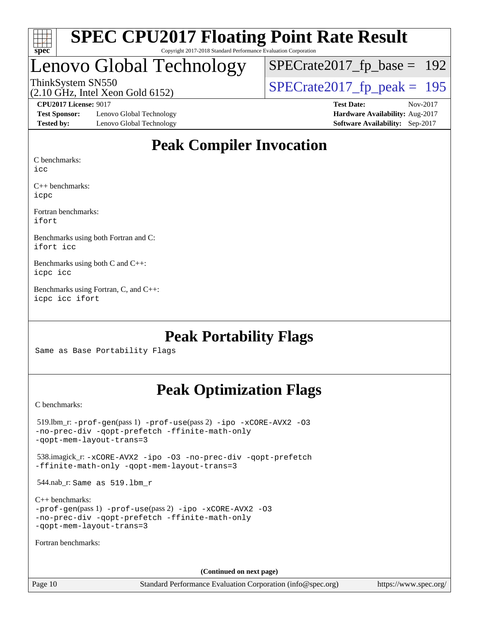

#### **[SPEC CPU2017 Floating Point Rate Result](http://www.spec.org/auto/cpu2017/Docs/result-fields.html#SPECCPU2017FloatingPointRateResult)** Copyright 2017-2018 Standard Performance Evaluation Corporation

# Lenovo Global Technology

[SPECrate2017\\_fp\\_base =](http://www.spec.org/auto/cpu2017/Docs/result-fields.html#SPECrate2017fpbase) 192

(2.10 GHz, Intel Xeon Gold 6152)

ThinkSystem SN550<br>  $(2.10 \text{ GHz})$  Intel Xeon Gold 6152)

**[Test Sponsor:](http://www.spec.org/auto/cpu2017/Docs/result-fields.html#TestSponsor)** Lenovo Global Technology **[Hardware Availability:](http://www.spec.org/auto/cpu2017/Docs/result-fields.html#HardwareAvailability)** Aug-2017 **[Tested by:](http://www.spec.org/auto/cpu2017/Docs/result-fields.html#Testedby)** Lenovo Global Technology **[Software Availability:](http://www.spec.org/auto/cpu2017/Docs/result-fields.html#SoftwareAvailability)** Sep-2017

**[CPU2017 License:](http://www.spec.org/auto/cpu2017/Docs/result-fields.html#CPU2017License)** 9017 **[Test Date:](http://www.spec.org/auto/cpu2017/Docs/result-fields.html#TestDate)** Nov-2017

### **[Peak Compiler Invocation](http://www.spec.org/auto/cpu2017/Docs/result-fields.html#PeakCompilerInvocation)**

[C benchmarks:](http://www.spec.org/auto/cpu2017/Docs/result-fields.html#Cbenchmarks)

[icc](http://www.spec.org/cpu2017/results/res2017q4/cpu2017-20171114-00681.flags.html#user_CCpeak_intel_icc_18.0_66fc1ee009f7361af1fbd72ca7dcefbb700085f36577c54f309893dd4ec40d12360134090235512931783d35fd58c0460139e722d5067c5574d8eaf2b3e37e92)

[C++ benchmarks](http://www.spec.org/auto/cpu2017/Docs/result-fields.html#CXXbenchmarks): [icpc](http://www.spec.org/cpu2017/results/res2017q4/cpu2017-20171114-00681.flags.html#user_CXXpeak_intel_icpc_18.0_c510b6838c7f56d33e37e94d029a35b4a7bccf4766a728ee175e80a419847e808290a9b78be685c44ab727ea267ec2f070ec5dc83b407c0218cded6866a35d07)

[Fortran benchmarks:](http://www.spec.org/auto/cpu2017/Docs/result-fields.html#Fortranbenchmarks) [ifort](http://www.spec.org/cpu2017/results/res2017q4/cpu2017-20171114-00681.flags.html#user_FCpeak_intel_ifort_18.0_8111460550e3ca792625aed983ce982f94888b8b503583aa7ba2b8303487b4d8a21a13e7191a45c5fd58ff318f48f9492884d4413fa793fd88dd292cad7027ca)

[Benchmarks using both Fortran and C:](http://www.spec.org/auto/cpu2017/Docs/result-fields.html#BenchmarksusingbothFortranandC) [ifort](http://www.spec.org/cpu2017/results/res2017q4/cpu2017-20171114-00681.flags.html#user_CC_FCpeak_intel_ifort_18.0_8111460550e3ca792625aed983ce982f94888b8b503583aa7ba2b8303487b4d8a21a13e7191a45c5fd58ff318f48f9492884d4413fa793fd88dd292cad7027ca) [icc](http://www.spec.org/cpu2017/results/res2017q4/cpu2017-20171114-00681.flags.html#user_CC_FCpeak_intel_icc_18.0_66fc1ee009f7361af1fbd72ca7dcefbb700085f36577c54f309893dd4ec40d12360134090235512931783d35fd58c0460139e722d5067c5574d8eaf2b3e37e92)

[Benchmarks using both C and C++](http://www.spec.org/auto/cpu2017/Docs/result-fields.html#BenchmarksusingbothCandCXX): [icpc](http://www.spec.org/cpu2017/results/res2017q4/cpu2017-20171114-00681.flags.html#user_CC_CXXpeak_intel_icpc_18.0_c510b6838c7f56d33e37e94d029a35b4a7bccf4766a728ee175e80a419847e808290a9b78be685c44ab727ea267ec2f070ec5dc83b407c0218cded6866a35d07) [icc](http://www.spec.org/cpu2017/results/res2017q4/cpu2017-20171114-00681.flags.html#user_CC_CXXpeak_intel_icc_18.0_66fc1ee009f7361af1fbd72ca7dcefbb700085f36577c54f309893dd4ec40d12360134090235512931783d35fd58c0460139e722d5067c5574d8eaf2b3e37e92)

[Benchmarks using Fortran, C, and C++:](http://www.spec.org/auto/cpu2017/Docs/result-fields.html#BenchmarksusingFortranCandCXX) [icpc](http://www.spec.org/cpu2017/results/res2017q4/cpu2017-20171114-00681.flags.html#user_CC_CXX_FCpeak_intel_icpc_18.0_c510b6838c7f56d33e37e94d029a35b4a7bccf4766a728ee175e80a419847e808290a9b78be685c44ab727ea267ec2f070ec5dc83b407c0218cded6866a35d07) [icc](http://www.spec.org/cpu2017/results/res2017q4/cpu2017-20171114-00681.flags.html#user_CC_CXX_FCpeak_intel_icc_18.0_66fc1ee009f7361af1fbd72ca7dcefbb700085f36577c54f309893dd4ec40d12360134090235512931783d35fd58c0460139e722d5067c5574d8eaf2b3e37e92) [ifort](http://www.spec.org/cpu2017/results/res2017q4/cpu2017-20171114-00681.flags.html#user_CC_CXX_FCpeak_intel_ifort_18.0_8111460550e3ca792625aed983ce982f94888b8b503583aa7ba2b8303487b4d8a21a13e7191a45c5fd58ff318f48f9492884d4413fa793fd88dd292cad7027ca)

### **[Peak Portability Flags](http://www.spec.org/auto/cpu2017/Docs/result-fields.html#PeakPortabilityFlags)**

Same as Base Portability Flags

# **[Peak Optimization Flags](http://www.spec.org/auto/cpu2017/Docs/result-fields.html#PeakOptimizationFlags)**

[C benchmarks](http://www.spec.org/auto/cpu2017/Docs/result-fields.html#Cbenchmarks):

 519.lbm\_r: [-prof-gen](http://www.spec.org/cpu2017/results/res2017q4/cpu2017-20171114-00681.flags.html#user_peakPASS1_CFLAGSPASS1_LDFLAGS519_lbm_r_prof_gen_5aa4926d6013ddb2a31985c654b3eb18169fc0c6952a63635c234f711e6e63dd76e94ad52365559451ec499a2cdb89e4dc58ba4c67ef54ca681ffbe1461d6b36)(pass 1) [-prof-use](http://www.spec.org/cpu2017/results/res2017q4/cpu2017-20171114-00681.flags.html#user_peakPASS2_CFLAGSPASS2_LDFLAGS519_lbm_r_prof_use_1a21ceae95f36a2b53c25747139a6c16ca95bd9def2a207b4f0849963b97e94f5260e30a0c64f4bb623698870e679ca08317ef8150905d41bd88c6f78df73f19)(pass 2) [-ipo](http://www.spec.org/cpu2017/results/res2017q4/cpu2017-20171114-00681.flags.html#user_peakPASS1_COPTIMIZEPASS2_COPTIMIZE519_lbm_r_f-ipo) [-xCORE-AVX2](http://www.spec.org/cpu2017/results/res2017q4/cpu2017-20171114-00681.flags.html#user_peakPASS2_COPTIMIZE519_lbm_r_f-xCORE-AVX2) [-O3](http://www.spec.org/cpu2017/results/res2017q4/cpu2017-20171114-00681.flags.html#user_peakPASS1_COPTIMIZEPASS2_COPTIMIZE519_lbm_r_f-O3) [-no-prec-div](http://www.spec.org/cpu2017/results/res2017q4/cpu2017-20171114-00681.flags.html#user_peakPASS1_COPTIMIZEPASS2_COPTIMIZE519_lbm_r_f-no-prec-div) [-qopt-prefetch](http://www.spec.org/cpu2017/results/res2017q4/cpu2017-20171114-00681.flags.html#user_peakPASS1_COPTIMIZEPASS2_COPTIMIZE519_lbm_r_f-qopt-prefetch) [-ffinite-math-only](http://www.spec.org/cpu2017/results/res2017q4/cpu2017-20171114-00681.flags.html#user_peakPASS1_COPTIMIZEPASS2_COPTIMIZE519_lbm_r_f_finite_math_only_cb91587bd2077682c4b38af759c288ed7c732db004271a9512da14a4f8007909a5f1427ecbf1a0fb78ff2a814402c6114ac565ca162485bbcae155b5e4258871) [-qopt-mem-layout-trans=3](http://www.spec.org/cpu2017/results/res2017q4/cpu2017-20171114-00681.flags.html#user_peakPASS1_COPTIMIZEPASS2_COPTIMIZE519_lbm_r_f-qopt-mem-layout-trans_de80db37974c74b1f0e20d883f0b675c88c3b01e9d123adea9b28688d64333345fb62bc4a798493513fdb68f60282f9a726aa07f478b2f7113531aecce732043) 538.imagick\_r: [-xCORE-AVX2](http://www.spec.org/cpu2017/results/res2017q4/cpu2017-20171114-00681.flags.html#user_peakCOPTIMIZE538_imagick_r_f-xCORE-AVX2) [-ipo](http://www.spec.org/cpu2017/results/res2017q4/cpu2017-20171114-00681.flags.html#user_peakCOPTIMIZE538_imagick_r_f-ipo) [-O3](http://www.spec.org/cpu2017/results/res2017q4/cpu2017-20171114-00681.flags.html#user_peakCOPTIMIZE538_imagick_r_f-O3) [-no-prec-div](http://www.spec.org/cpu2017/results/res2017q4/cpu2017-20171114-00681.flags.html#user_peakCOPTIMIZE538_imagick_r_f-no-prec-div) [-qopt-prefetch](http://www.spec.org/cpu2017/results/res2017q4/cpu2017-20171114-00681.flags.html#user_peakCOPTIMIZE538_imagick_r_f-qopt-prefetch) [-ffinite-math-only](http://www.spec.org/cpu2017/results/res2017q4/cpu2017-20171114-00681.flags.html#user_peakCOPTIMIZE538_imagick_r_f_finite_math_only_cb91587bd2077682c4b38af759c288ed7c732db004271a9512da14a4f8007909a5f1427ecbf1a0fb78ff2a814402c6114ac565ca162485bbcae155b5e4258871) [-qopt-mem-layout-trans=3](http://www.spec.org/cpu2017/results/res2017q4/cpu2017-20171114-00681.flags.html#user_peakCOPTIMIZE538_imagick_r_f-qopt-mem-layout-trans_de80db37974c74b1f0e20d883f0b675c88c3b01e9d123adea9b28688d64333345fb62bc4a798493513fdb68f60282f9a726aa07f478b2f7113531aecce732043) 544.nab\_r: Same as 519.lbm\_r [C++ benchmarks:](http://www.spec.org/auto/cpu2017/Docs/result-fields.html#CXXbenchmarks) [-prof-gen](http://www.spec.org/cpu2017/results/res2017q4/cpu2017-20171114-00681.flags.html#user_CXXpeak_prof_gen_5aa4926d6013ddb2a31985c654b3eb18169fc0c6952a63635c234f711e6e63dd76e94ad52365559451ec499a2cdb89e4dc58ba4c67ef54ca681ffbe1461d6b36)(pass 1) [-prof-use](http://www.spec.org/cpu2017/results/res2017q4/cpu2017-20171114-00681.flags.html#user_CXXpeak_prof_use_1a21ceae95f36a2b53c25747139a6c16ca95bd9def2a207b4f0849963b97e94f5260e30a0c64f4bb623698870e679ca08317ef8150905d41bd88c6f78df73f19)(pass 2) [-ipo](http://www.spec.org/cpu2017/results/res2017q4/cpu2017-20171114-00681.flags.html#user_CXXpeak_f-ipo) [-xCORE-AVX2](http://www.spec.org/cpu2017/results/res2017q4/cpu2017-20171114-00681.flags.html#user_CXXpeak_f-xCORE-AVX2) [-O3](http://www.spec.org/cpu2017/results/res2017q4/cpu2017-20171114-00681.flags.html#user_CXXpeak_f-O3) [-no-prec-div](http://www.spec.org/cpu2017/results/res2017q4/cpu2017-20171114-00681.flags.html#user_CXXpeak_f-no-prec-div) [-qopt-prefetch](http://www.spec.org/cpu2017/results/res2017q4/cpu2017-20171114-00681.flags.html#user_CXXpeak_f-qopt-prefetch) [-ffinite-math-only](http://www.spec.org/cpu2017/results/res2017q4/cpu2017-20171114-00681.flags.html#user_CXXpeak_f_finite_math_only_cb91587bd2077682c4b38af759c288ed7c732db004271a9512da14a4f8007909a5f1427ecbf1a0fb78ff2a814402c6114ac565ca162485bbcae155b5e4258871) [-qopt-mem-layout-trans=3](http://www.spec.org/cpu2017/results/res2017q4/cpu2017-20171114-00681.flags.html#user_CXXpeak_f-qopt-mem-layout-trans_de80db37974c74b1f0e20d883f0b675c88c3b01e9d123adea9b28688d64333345fb62bc4a798493513fdb68f60282f9a726aa07f478b2f7113531aecce732043) [Fortran benchmarks](http://www.spec.org/auto/cpu2017/Docs/result-fields.html#Fortranbenchmarks): **(Continued on next page)**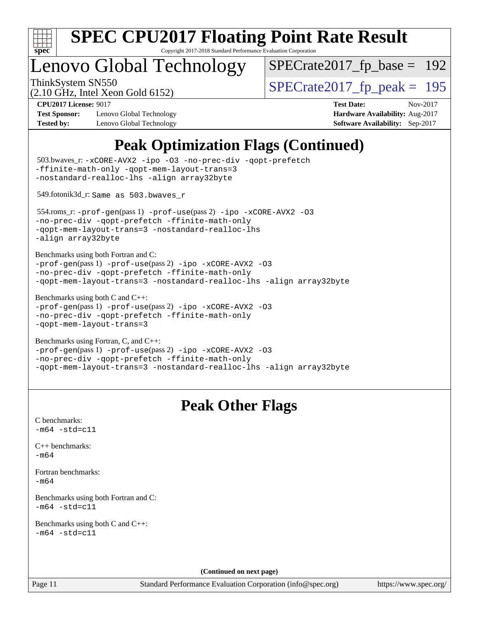

Copyright 2017-2018 Standard Performance Evaluation Corporation

# enovo Global Technology

ThinkSystem SN550<br>  $\frac{10.047 \text{ J} \cdot \text{m/s}}{2.10 \text{ GHz}}$  [SPECrate2017\\_fp\\_peak =](http://www.spec.org/auto/cpu2017/Docs/result-fields.html#SPECrate2017fppeak) 195 [SPECrate2017\\_fp\\_base =](http://www.spec.org/auto/cpu2017/Docs/result-fields.html#SPECrate2017fpbase) 192

(2.10 GHz, Intel Xeon Gold 6152)

**[Test Sponsor:](http://www.spec.org/auto/cpu2017/Docs/result-fields.html#TestSponsor)** Lenovo Global Technology **[Hardware Availability:](http://www.spec.org/auto/cpu2017/Docs/result-fields.html#HardwareAvailability)** Aug-2017 **[Tested by:](http://www.spec.org/auto/cpu2017/Docs/result-fields.html#Testedby)** Lenovo Global Technology **[Software Availability:](http://www.spec.org/auto/cpu2017/Docs/result-fields.html#SoftwareAvailability)** Sep-2017

**[CPU2017 License:](http://www.spec.org/auto/cpu2017/Docs/result-fields.html#CPU2017License)** 9017 **[Test Date:](http://www.spec.org/auto/cpu2017/Docs/result-fields.html#TestDate)** Nov-2017

# **[Peak Optimization Flags \(Continued\)](http://www.spec.org/auto/cpu2017/Docs/result-fields.html#PeakOptimizationFlags)**

```
(info@spec.org)https://www.spec.org/
  503.bwaves_r: -xCORE-AVX2 -ipo -O3 -no-prec-div -qopt-prefetch
-ffinite-math-only -qopt-mem-layout-trans=3
-nostandard-realloc-lhs -align array32byte
  549.fotonik3d_r: Same as 503.bwaves_r
  554.roms_r: -prof-gen(pass 1) -prof-use(pass 2) -ipo -xCORE-AVX2 -O3
-no-prec-div -qopt-prefetch -ffinite-math-only
-qopt-mem-layout-trans=3 -nostandard-realloc-lhs
-align array32byte
Benchmarks using both Fortran and C: 
-prof-gen(pass 1) -prof-use(pass 2) -ipo -xCORE-AVX2 -O3
-no-prec-div -qopt-prefetch -ffinite-math-only
-qopt-mem-layout-trans=3 -nostandard-realloc-lhs -align array32byte
Benchmarks using both C and C++: 
-prof-gen(pass 1) -prof-use(pass 2) -ipo -xCORE-AVX2 -O3
-no-prec-div -qopt-prefetch -ffinite-math-only
-qopt-mem-layout-trans=3
Benchmarks using Fortran, C, and C++: 
-prof-gen(pass 1) -prof-use(pass 2) -ipo -xCORE-AVX2 -O3
-no-prec-div -qopt-prefetch -ffinite-math-only
-qopt-mem-layout-trans=3 -nostandard-realloc-lhs -align array32byte
                                 Peak Other Flags
C benchmarks: 
-m64 - std= c11C++ benchmarks: 
-m64Fortran benchmarks: 
-m64
Benchmarks using both Fortran and C: 
-m64 - std= c11Benchmarks using both C and C++: 
-m64 - std= c11(Continued on next page)
```